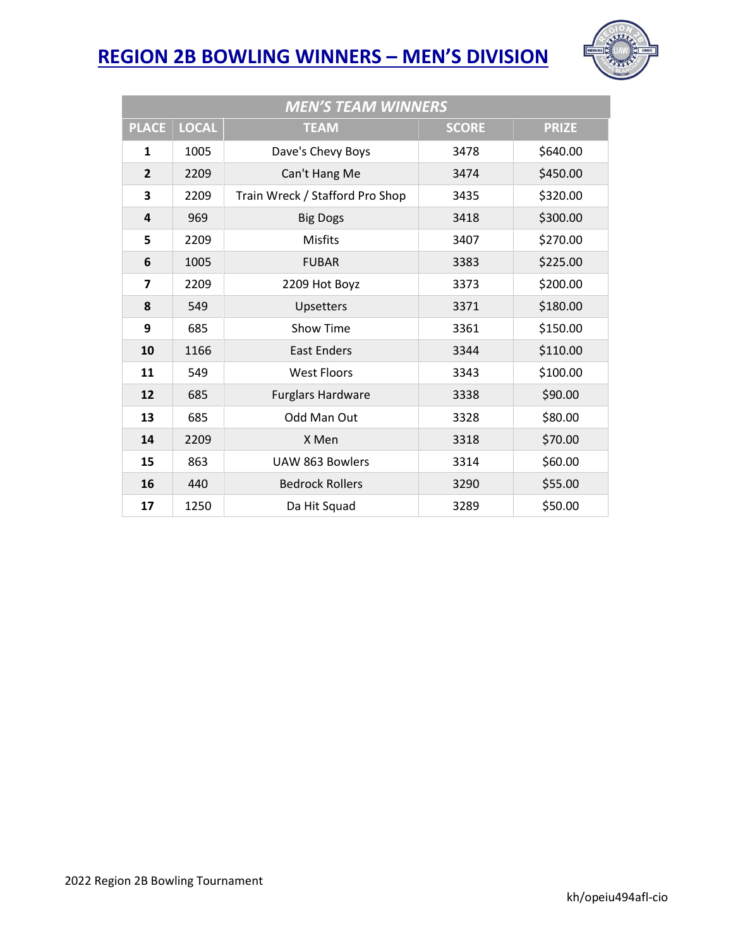

| <b>MEN'S TEAM WINNERS</b> |              |                                 |              |              |  |  |  |
|---------------------------|--------------|---------------------------------|--------------|--------------|--|--|--|
| <b>PLACE</b>              | <b>LOCAL</b> | <b>TEAM</b>                     | <b>SCORE</b> | <b>PRIZE</b> |  |  |  |
| $\mathbf{1}$              | 1005         | Dave's Chevy Boys               | 3478         | \$640.00     |  |  |  |
| $\overline{2}$            | 2209         | Can't Hang Me                   | 3474         | \$450.00     |  |  |  |
| 3                         | 2209         | Train Wreck / Stafford Pro Shop | 3435         | \$320.00     |  |  |  |
| 4                         | 969          | <b>Big Dogs</b>                 | 3418         | \$300.00     |  |  |  |
| 5                         | 2209         | <b>Misfits</b>                  | 3407         | \$270.00     |  |  |  |
| 6                         | 1005         | <b>FUBAR</b>                    | 3383         | \$225.00     |  |  |  |
| $\overline{\mathbf{z}}$   | 2209         | 2209 Hot Boyz                   | 3373         | \$200.00     |  |  |  |
| 8                         | 549          | Upsetters                       | 3371         | \$180.00     |  |  |  |
| 9                         | 685          | Show Time                       | 3361         | \$150.00     |  |  |  |
| 10                        | 1166         | <b>East Enders</b>              | 3344         | \$110.00     |  |  |  |
| 11                        | 549          | <b>West Floors</b>              | 3343         | \$100.00     |  |  |  |
| 12                        | 685          | <b>Furglars Hardware</b>        | 3338         | \$90.00      |  |  |  |
| 13                        | 685          | Odd Man Out                     | 3328         | \$80.00      |  |  |  |
| 14                        | 2209         | X Men                           | 3318         | \$70.00      |  |  |  |
| 15                        | 863          | <b>UAW 863 Bowlers</b>          | 3314         | \$60.00      |  |  |  |
| 16                        | 440          | <b>Bedrock Rollers</b>          | 3290         | \$55.00      |  |  |  |
| 17                        | 1250         | Da Hit Squad                    | 3289         | \$50.00      |  |  |  |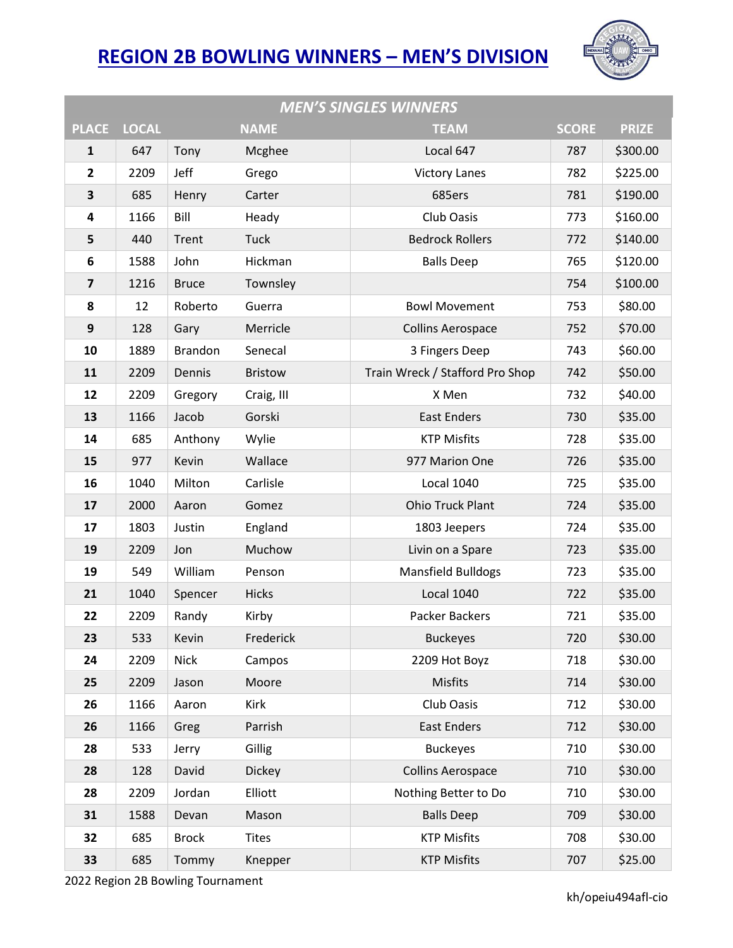

| <b>MEN'S SINGLES WINNERS</b> |              |                |                |                                 |              |              |  |
|------------------------------|--------------|----------------|----------------|---------------------------------|--------------|--------------|--|
| <b>PLACE</b>                 | <b>LOCAL</b> |                | <b>NAME</b>    | <b>TEAM</b>                     | <b>SCORE</b> | <b>PRIZE</b> |  |
| ${\bf 1}$                    | 647          | Tony           | Mcghee         | Local 647                       | 787          | \$300.00     |  |
| $\overline{2}$               | 2209         | Jeff           | Grego          | <b>Victory Lanes</b>            | 782          | \$225.00     |  |
| 3                            | 685          | Henry          | Carter         | 685ers                          | 781          | \$190.00     |  |
| 4                            | 1166         | Bill           | Heady          | Club Oasis                      | 773          | \$160.00     |  |
| 5                            | 440          | Trent          | Tuck           | <b>Bedrock Rollers</b>          | 772          | \$140.00     |  |
| 6                            | 1588         | John           | Hickman        | <b>Balls Deep</b>               | 765          | \$120.00     |  |
| $\overline{\mathbf{z}}$      | 1216         | <b>Bruce</b>   | Townsley       |                                 | 754          | \$100.00     |  |
| 8                            | 12           | Roberto        | Guerra         | <b>Bowl Movement</b>            | 753          | \$80.00      |  |
| 9                            | 128          | Gary           | Merricle       | <b>Collins Aerospace</b>        | 752          | \$70.00      |  |
| 10                           | 1889         | <b>Brandon</b> | Senecal        | 3 Fingers Deep                  | 743          | \$60.00      |  |
| 11                           | 2209         | Dennis         | <b>Bristow</b> | Train Wreck / Stafford Pro Shop | 742          | \$50.00      |  |
| 12                           | 2209         | Gregory        | Craig, III     | X Men                           | 732          | \$40.00      |  |
| 13                           | 1166         | Jacob          | Gorski         | <b>East Enders</b>              | 730          | \$35.00      |  |
| 14                           | 685          | Anthony        | Wylie          | <b>KTP Misfits</b>              | 728          | \$35.00      |  |
| 15                           | 977          | Kevin          | Wallace        | 977 Marion One                  | 726          | \$35.00      |  |
| 16                           | 1040         | Milton         | Carlisle       | <b>Local 1040</b>               | 725          | \$35.00      |  |
| 17                           | 2000         | Aaron          | Gomez          | <b>Ohio Truck Plant</b>         | 724          | \$35.00      |  |
| 17                           | 1803         | Justin         | England        | 1803 Jeepers                    | 724          | \$35.00      |  |
| 19                           | 2209         | Jon            | Muchow         | Livin on a Spare                | 723          | \$35.00      |  |
| 19                           | 549          | William        | Penson         | <b>Mansfield Bulldogs</b>       | 723          | \$35.00      |  |
| 21                           | 1040         | Spencer        | <b>Hicks</b>   | <b>Local 1040</b>               | 722          | \$35.00      |  |
| 22                           | 2209         | Randy          | Kirby          | Packer Backers                  | 721          | \$35.00      |  |
| 23                           | 533          | Kevin          | Frederick      | <b>Buckeyes</b>                 | 720          | \$30.00      |  |
| 24                           | 2209         | <b>Nick</b>    | Campos         | 2209 Hot Boyz                   | 718          | \$30.00      |  |
| 25                           | 2209         | Jason          | Moore          | Misfits                         | 714          | \$30.00      |  |
| 26                           | 1166         | Aaron          | Kirk           | Club Oasis                      | 712          | \$30.00      |  |
| 26                           | 1166         | Greg           | Parrish        | <b>East Enders</b>              | 712          | \$30.00      |  |
| 28                           | 533          | Jerry          | Gillig         | <b>Buckeyes</b>                 | 710          | \$30.00      |  |
| 28                           | 128          | David          | <b>Dickey</b>  | <b>Collins Aerospace</b>        | 710          | \$30.00      |  |
| 28                           | 2209         | Jordan         | Elliott        | Nothing Better to Do            | 710          | \$30.00      |  |
| 31                           | 1588         | Devan          | Mason          | <b>Balls Deep</b>               | 709          | \$30.00      |  |
| 32                           | 685          | <b>Brock</b>   | <b>Tites</b>   | <b>KTP Misfits</b>              | 708          | \$30.00      |  |
| 33                           | 685          | Tommy          | Knepper        | <b>KTP Misfits</b>              | 707          | \$25.00      |  |

2022 Region 2B Bowling Tournament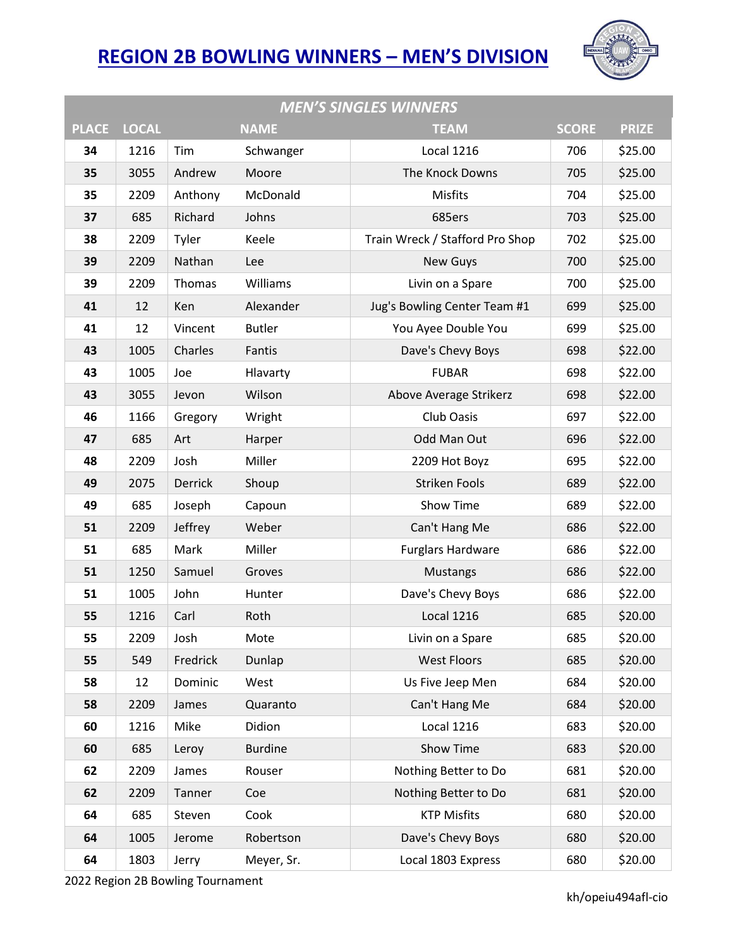

| <b>MEN'S SINGLES WINNERS</b> |              |          |                |                                 |              |              |  |
|------------------------------|--------------|----------|----------------|---------------------------------|--------------|--------------|--|
| <b>PLACE</b>                 | <b>LOCAL</b> |          | <b>NAME</b>    | <b>TEAM</b>                     | <b>SCORE</b> | <b>PRIZE</b> |  |
| 34                           | 1216         | Tim      | Schwanger      | Local 1216                      | 706          | \$25.00      |  |
| 35                           | 3055         | Andrew   | Moore          | The Knock Downs                 | 705          | \$25.00      |  |
| 35                           | 2209         | Anthony  | McDonald       | Misfits                         | 704          | \$25.00      |  |
| 37                           | 685          | Richard  | Johns          | 685ers                          | 703          | \$25.00      |  |
| 38                           | 2209         | Tyler    | Keele          | Train Wreck / Stafford Pro Shop | 702          | \$25.00      |  |
| 39                           | 2209         | Nathan   | Lee            | <b>New Guys</b>                 | 700          | \$25.00      |  |
| 39                           | 2209         | Thomas   | Williams       | Livin on a Spare                | 700          | \$25.00      |  |
| 41                           | 12           | Ken      | Alexander      | Jug's Bowling Center Team #1    | 699          | \$25.00      |  |
| 41                           | 12           | Vincent  | <b>Butler</b>  | You Ayee Double You             | 699          | \$25.00      |  |
| 43                           | 1005         | Charles  | Fantis         | Dave's Chevy Boys               | 698          | \$22.00      |  |
| 43                           | 1005         | Joe      | Hlavarty       | <b>FUBAR</b>                    | 698          | \$22.00      |  |
| 43                           | 3055         | Jevon    | Wilson         | Above Average Strikerz          | 698          | \$22.00      |  |
| 46                           | 1166         | Gregory  | Wright         | Club Oasis                      | 697          | \$22.00      |  |
| 47                           | 685          | Art      | Harper         | Odd Man Out                     | 696          | \$22.00      |  |
| 48                           | 2209         | Josh     | Miller         | 2209 Hot Boyz                   | 695          | \$22.00      |  |
| 49                           | 2075         | Derrick  | Shoup          | <b>Striken Fools</b>            | 689          | \$22.00      |  |
| 49                           | 685          | Joseph   | Capoun         | Show Time                       | 689          | \$22.00      |  |
| 51                           | 2209         | Jeffrey  | Weber          | Can't Hang Me                   | 686          | \$22.00      |  |
| 51                           | 685          | Mark     | Miller         | <b>Furglars Hardware</b>        | 686          | \$22.00      |  |
| 51                           | 1250         | Samuel   | Groves         | Mustangs                        | 686          | \$22.00      |  |
| 51                           | 1005         | John     | Hunter         | Dave's Chevy Boys               | 686          | \$22.00      |  |
| 55                           | 1216         | Carl     | Roth           | <b>Local 1216</b>               | 685          | \$20.00      |  |
| 55                           | 2209         | Josh     | Mote           | Livin on a Spare                | 685          | \$20.00      |  |
| 55                           | 549          | Fredrick | Dunlap         | <b>West Floors</b>              | 685          | \$20.00      |  |
| 58                           | 12           | Dominic  | West           | Us Five Jeep Men                | 684          | \$20.00      |  |
| 58                           | 2209         | James    | Quaranto       | Can't Hang Me                   | 684          | \$20.00      |  |
| 60                           | 1216         | Mike     | Didion         | Local 1216                      | 683          | \$20.00      |  |
| 60                           | 685          | Leroy    | <b>Burdine</b> | Show Time                       | 683          | \$20.00      |  |
| 62                           | 2209         | James    | Rouser         | Nothing Better to Do            | 681          | \$20.00      |  |
| 62                           | 2209         | Tanner   | Coe            | Nothing Better to Do            | 681          | \$20.00      |  |
| 64                           | 685          | Steven   | Cook           | <b>KTP Misfits</b>              | 680          | \$20.00      |  |
| 64                           | 1005         | Jerome   | Robertson      | Dave's Chevy Boys               | 680          | \$20.00      |  |
| 64                           | 1803         | Jerry    | Meyer, Sr.     | Local 1803 Express              | 680          | \$20.00      |  |

2022 Region 2B Bowling Tournament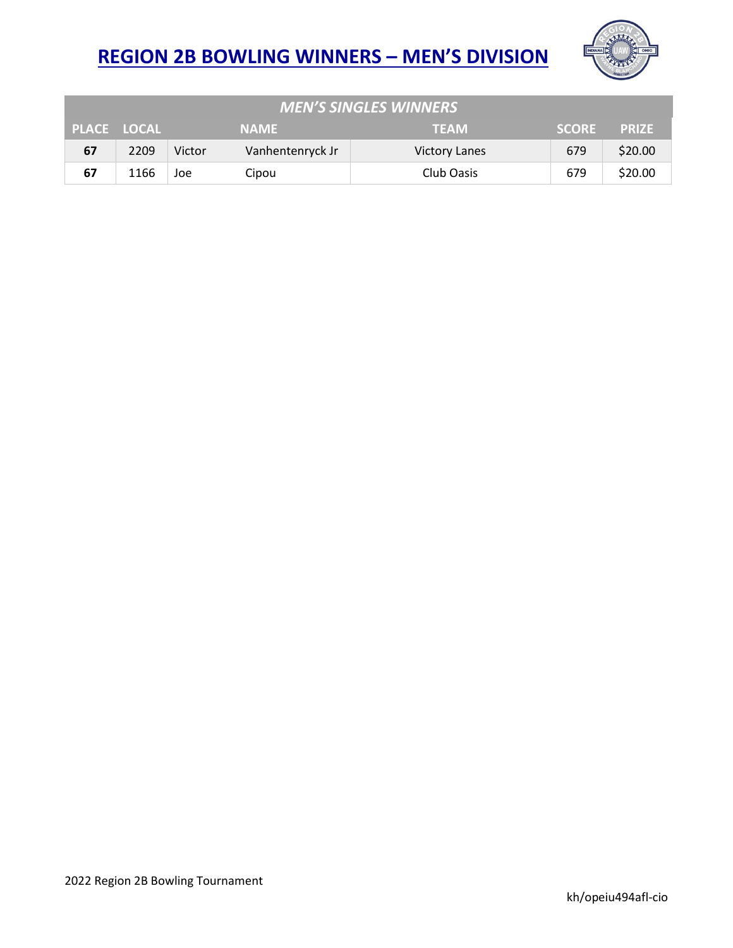

| <b>MEN'S SINGLES WINNERS</b> |                    |             |                  |                      |              |              |  |  |
|------------------------------|--------------------|-------------|------------------|----------------------|--------------|--------------|--|--|
|                              | <b>PLACE LOCAL</b> | <b>NAME</b> |                  | <b>TEAM</b>          | <b>SCORE</b> | <b>PRIZE</b> |  |  |
| 67                           | 2209               | Victor      | Vanhentenryck Jr | <b>Victory Lanes</b> | 679          | \$20.00      |  |  |
| 67                           | 1166               | Joe         | Cipou            | Club Oasis           | 679          | \$20.00      |  |  |